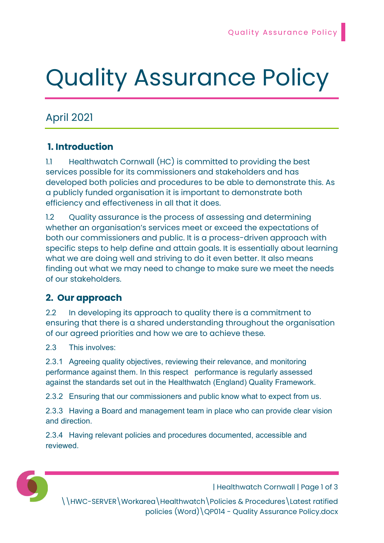# Quality Assurance Policy

# April 2021

## 1. Introduction

1.1 Healthwatch Cornwall (HC) is committed to providing the best services possible for its commissioners and stakeholders and has developed both policies and procedures to be able to demonstrate this. As a publicly funded organisation it is important to demonstrate both efficiency and effectiveness in all that it does.

1.2 Quality assurance is the process of assessing and determining whether an organisation's services meet or exceed the expectations of both our commissioners and public. It is a process-driven approach with specific steps to help define and attain goals. It is essentially about learning what we are doing well and striving to do it even better. It also means finding out what we may need to change to make sure we meet the needs of our stakeholders.

### 2. Our approach

2.2 In developing its approach to quality there is a commitment to ensuring that there is a shared understanding throughout the organisation of our agreed priorities and how we are to achieve these.

2.3 This involves:

2.3.1 Agreeing quality objectives, reviewing their relevance, and monitoring performance against them. In this respect performance is regularly assessed against the standards set out in the Healthwatch (England) Quality Framework.

2.3.2 Ensuring that our commissioners and public know what to expect from us.

2.3.3 Having a Board and management team in place who can provide clear vision and direction.

2.3.4 Having relevant policies and procedures documented, accessible and reviewed.



| Healthwatch Cornwall | Page 1 of 3

\\HWC-SERVER\Workarea\Healthwatch\Policies & Procedures\Latest ratified policies (Word)\QP014 - Quality Assurance Policy.docx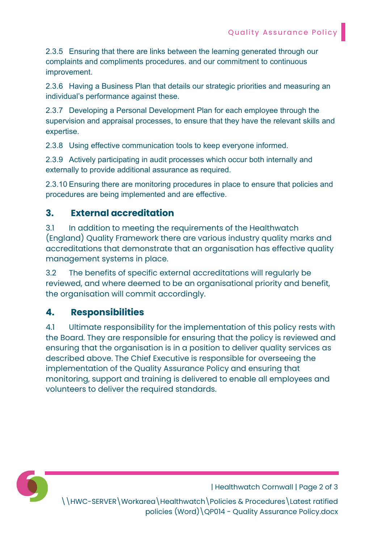2.3.5 Ensuring that there are links between the learning generated through our complaints and compliments procedures. and our commitment to continuous improvement.

2.3.6 Having a Business Plan that details our strategic priorities and measuring an individual's performance against these.

2.3.7 Developing a Personal Development Plan for each employee through the supervision and appraisal processes, to ensure that they have the relevant skills and expertise.

2.3.8 Using effective communication tools to keep everyone informed.

2.3.9 Actively participating in audit processes which occur both internally and externally to provide additional assurance as required.

2.3.10 Ensuring there are monitoring procedures in place to ensure that policies and procedures are being implemented and are effective.

#### 3. External accreditation

3.1 In addition to meeting the requirements of the Healthwatch (England) Quality Framework there are various industry quality marks and accreditations that demonstrate that an organisation has effective quality management systems in place.

3.2 The benefits of specific external accreditations will regularly be reviewed, and where deemed to be an organisational priority and benefit, the organisation will commit accordingly.

#### 4. Responsibilities

4.1 Ultimate responsibility for the implementation of this policy rests with the Board. They are responsible for ensuring that the policy is reviewed and ensuring that the organisation is in a position to deliver quality services as described above. The Chief Executive is responsible for overseeing the implementation of the Quality Assurance Policy and ensuring that monitoring, support and training is delivered to enable all employees and volunteers to deliver the required standards.



| Healthwatch Cornwall | Page 2 of 3

\\HWC-SERVER\Workarea\Healthwatch\Policies & Procedures\Latest ratified policies (Word)\QP014 - Quality Assurance Policy.docx